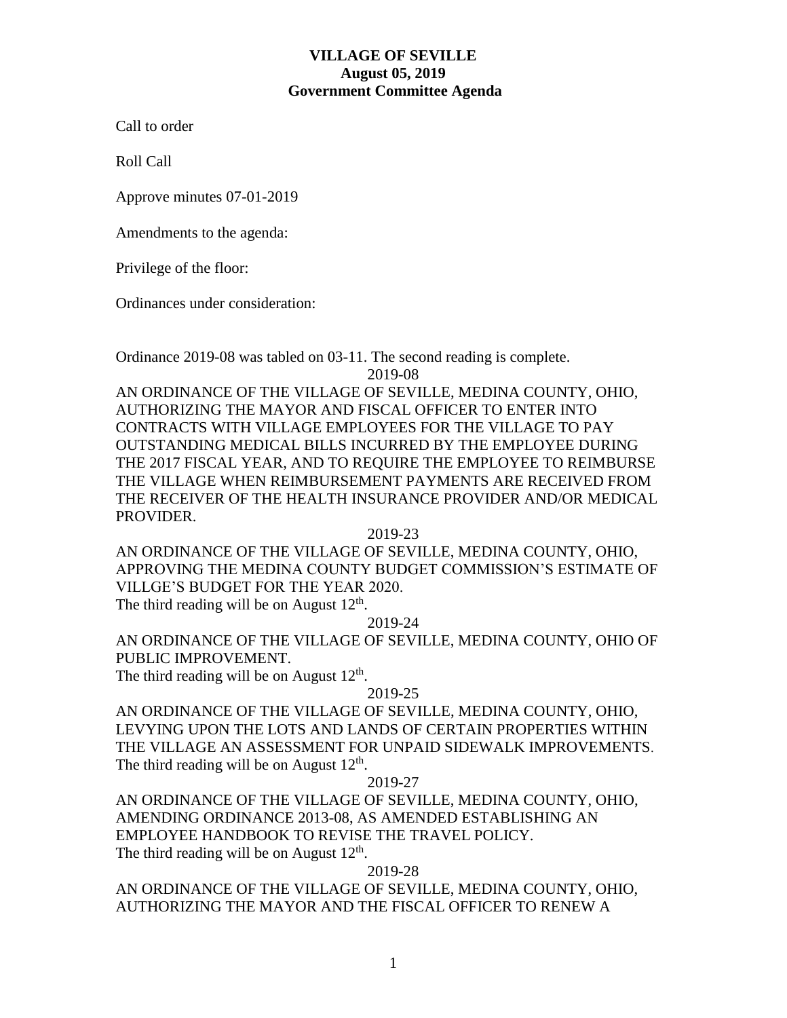# **VILLAGE OF SEVILLE August 05, 2019 Government Committee Agenda**

Call to order

Roll Call

Approve minutes 07-01-2019

Amendments to the agenda:

Privilege of the floor:

Ordinances under consideration:

Ordinance 2019-08 was tabled on 03-11. The second reading is complete.

2019-08

AN ORDINANCE OF THE VILLAGE OF SEVILLE, MEDINA COUNTY, OHIO, AUTHORIZING THE MAYOR AND FISCAL OFFICER TO ENTER INTO CONTRACTS WITH VILLAGE EMPLOYEES FOR THE VILLAGE TO PAY OUTSTANDING MEDICAL BILLS INCURRED BY THE EMPLOYEE DURING THE 2017 FISCAL YEAR, AND TO REQUIRE THE EMPLOYEE TO REIMBURSE THE VILLAGE WHEN REIMBURSEMENT PAYMENTS ARE RECEIVED FROM THE RECEIVER OF THE HEALTH INSURANCE PROVIDER AND/OR MEDICAL PROVIDER.

2019-23

AN ORDINANCE OF THE VILLAGE OF SEVILLE, MEDINA COUNTY, OHIO, APPROVING THE MEDINA COUNTY BUDGET COMMISSION'S ESTIMATE OF VILLGE'S BUDGET FOR THE YEAR 2020.

The third reading will be on August  $12<sup>th</sup>$ .

2019-24

AN ORDINANCE OF THE VILLAGE OF SEVILLE, MEDINA COUNTY, OHIO OF PUBLIC IMPROVEMENT.

The third reading will be on August  $12<sup>th</sup>$ .

2019-25

AN ORDINANCE OF THE VILLAGE OF SEVILLE, MEDINA COUNTY, OHIO, LEVYING UPON THE LOTS AND LANDS OF CERTAIN PROPERTIES WITHIN THE VILLAGE AN ASSESSMENT FOR UNPAID SIDEWALK IMPROVEMENTS. The third reading will be on August  $12<sup>th</sup>$ .

2019-27

AN ORDINANCE OF THE VILLAGE OF SEVILLE, MEDINA COUNTY, OHIO, AMENDING ORDINANCE 2013-08, AS AMENDED ESTABLISHING AN EMPLOYEE HANDBOOK TO REVISE THE TRAVEL POLICY. The third reading will be on August  $12<sup>th</sup>$ .

2019-28

AN ORDINANCE OF THE VILLAGE OF SEVILLE, MEDINA COUNTY, OHIO, AUTHORIZING THE MAYOR AND THE FISCAL OFFICER TO RENEW A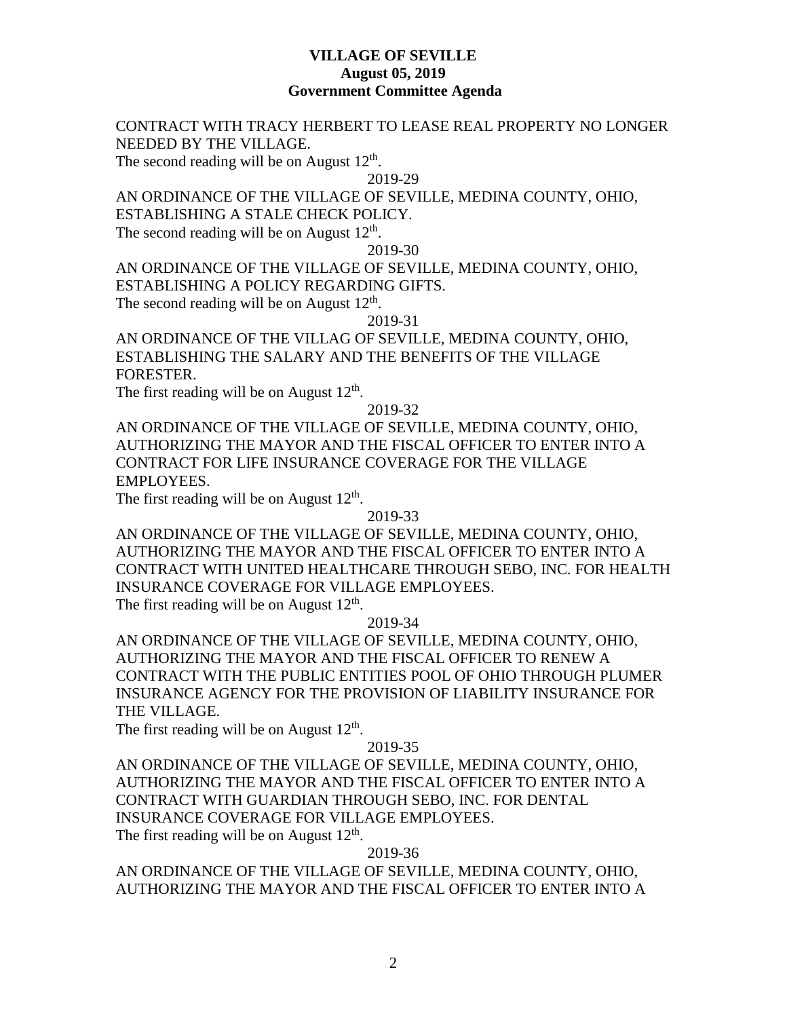## **VILLAGE OF SEVILLE August 05, 2019 Government Committee Agenda**

# CONTRACT WITH TRACY HERBERT TO LEASE REAL PROPERTY NO LONGER NEEDED BY THE VILLAGE.

The second reading will be on August  $12<sup>th</sup>$ .

2019-29

# AN ORDINANCE OF THE VILLAGE OF SEVILLE, MEDINA COUNTY, OHIO, ESTABLISHING A STALE CHECK POLICY.

The second reading will be on August  $12<sup>th</sup>$ .

2019-30

AN ORDINANCE OF THE VILLAGE OF SEVILLE, MEDINA COUNTY, OHIO, ESTABLISHING A POLICY REGARDING GIFTS. The second reading will be on August  $12<sup>th</sup>$ .

2019-31

AN ORDINANCE OF THE VILLAG OF SEVILLE, MEDINA COUNTY, OHIO, ESTABLISHING THE SALARY AND THE BENEFITS OF THE VILLAGE FORESTER.

The first reading will be on August  $12<sup>th</sup>$ .

### 2019-32

AN ORDINANCE OF THE VILLAGE OF SEVILLE, MEDINA COUNTY, OHIO, AUTHORIZING THE MAYOR AND THE FISCAL OFFICER TO ENTER INTO A CONTRACT FOR LIFE INSURANCE COVERAGE FOR THE VILLAGE EMPLOYEES.

The first reading will be on August  $12<sup>th</sup>$ .

2019-33

AN ORDINANCE OF THE VILLAGE OF SEVILLE, MEDINA COUNTY, OHIO, AUTHORIZING THE MAYOR AND THE FISCAL OFFICER TO ENTER INTO A CONTRACT WITH UNITED HEALTHCARE THROUGH SEBO, INC. FOR HEALTH INSURANCE COVERAGE FOR VILLAGE EMPLOYEES.

The first reading will be on August  $12<sup>th</sup>$ .

2019-34

AN ORDINANCE OF THE VILLAGE OF SEVILLE, MEDINA COUNTY, OHIO, AUTHORIZING THE MAYOR AND THE FISCAL OFFICER TO RENEW A CONTRACT WITH THE PUBLIC ENTITIES POOL OF OHIO THROUGH PLUMER INSURANCE AGENCY FOR THE PROVISION OF LIABILITY INSURANCE FOR THE VILLAGE.

The first reading will be on August  $12<sup>th</sup>$ .

## 2019-35

AN ORDINANCE OF THE VILLAGE OF SEVILLE, MEDINA COUNTY, OHIO, AUTHORIZING THE MAYOR AND THE FISCAL OFFICER TO ENTER INTO A CONTRACT WITH GUARDIAN THROUGH SEBO, INC. FOR DENTAL INSURANCE COVERAGE FOR VILLAGE EMPLOYEES. The first reading will be on August  $12<sup>th</sup>$ .

### 2019-36

AN ORDINANCE OF THE VILLAGE OF SEVILLE, MEDINA COUNTY, OHIO, AUTHORIZING THE MAYOR AND THE FISCAL OFFICER TO ENTER INTO A